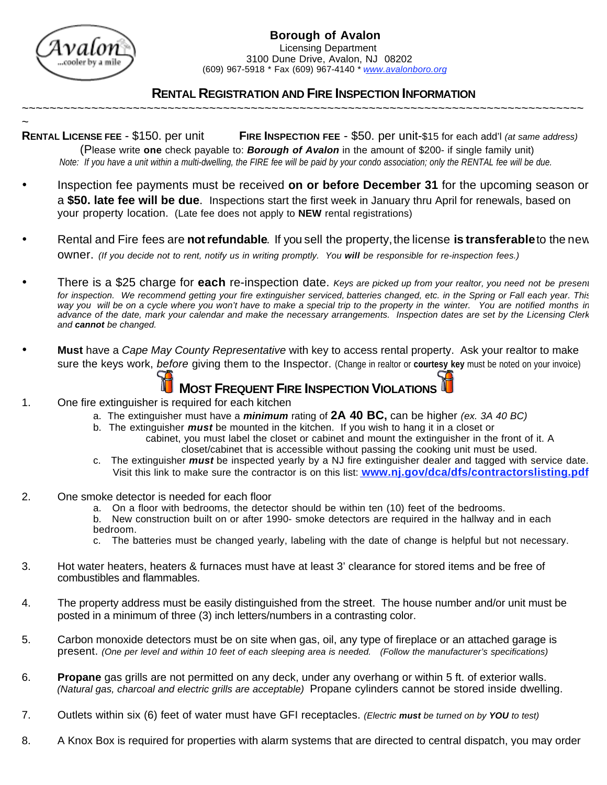

## **RENTAL REGISTRATION AND FIRE INSPECTION INFORMATION**

~ **RENTAL LICENSE FEE** - \$150. per unit **FIRE INSPECTION FEE** - \$50. per unit-\$15 for each add'l *(at same address)* (Please write **one** check payable to: *Borough of Avalon* in the amount of \$200- if single family unit) *Note: If you have a unit within a multi-dwelling, the FIRE fee will be paid by your condo association; only the RENTAL fee will be due.*

~~~~~~~~~~~~~~~~~~~~~~~~~~~~~~~~~~~~~~~~~~~~~~~~~~~~~~~~~~~~~~~~~~~~~~~~~~~~~~~~~

- Inspection fee payments must be received **on or before December 31** for the upcoming season or a **\$50. late fee will be due**. Inspections start the first week in January thru April for renewals, based on your property location.(Late fee does not apply to **NEW** rental registrations)
- Rental and Fire fees are **notrefundable**. If you sell the property, the license **is transferable** to the new owner. *(If you decide not to rent, notify us in writing promptly. You will be responsible for re-inspection fees.)*
- There is a \$25 charge for **each** re-inspection date. *Keys are picked up from your realtor, you need not be present for inspection. We recommend getting your fire extinguisher serviced, batteries changed, etc. in the Spring or Fall each year. This way you will be on a cycle where you won't have to make a special trip to the property in the winter. You are notified months in advance of the date, mark your calendar and make the necessary arrangements. Inspection dates are set by the Licensing Clerk and cannot be changed.*
- **Must** have a *Cape May County Representative* with key to access rental property. Ask your realtor to make sure the keys work, *before* giving them to the Inspector. (Change in realtor or **courtesy key** must be noted on your invoice)

 **MOST FREQUENT FIRE INSPECTION VIOLATIONS**

- 1. One fire extinguisher is required for each kitchen
	- a. The extinguisher must have a *minimum* rating of **2A 40 BC,** can be higher *(ex. 3A 40 BC)*
	- b. The extinguisher *must* be mounted in the kitchen. If you wish to hang it in a closet or
		- cabinet, you must label the closet or cabinet and mount the extinguisher in the front of it. A closet/cabinet that is accessible without passing the cooking unit must be used.
	- c. The extinguisher *must* be inspected yearly by a NJ fire extinguisher dealer and tagged with service date. Visit this link to make sure the contractor is on this list: **www.nj.gov/dca/dfs/contractorslisting.pdf**
- 2. One smoke detector is needed for each floor
	- a. On a floor with bedrooms, the detector should be within ten (10) feet of the bedrooms.
	- b. New construction built on or after 1990- smoke detectors are required in the hallway and in each bedroom.
	- c. The batteries must be changed yearly, labeling with the date of change is helpful but not necessary.
- 3. Hot water heaters, heaters & furnaces must have at least 3' clearance for stored items and be free of combustibles and flammables.
- 4. The property address must be easily distinguished from the street. The house number and/or unit must be posted in a minimum of three (3) inch letters/numbers in a contrasting color.
- 5. Carbon monoxide detectors must be on site when gas, oil, any type of fireplace or an attached garage is present. *(One per level and within 10 feet of each sleeping area is needed. (Follow the manufacturer's specifications)*
- 6. **Propane** gas grills are not permitted on any deck, under any overhang or within 5 ft. of exterior walls.  *(Natural gas, charcoal and electric grills are acceptable)* Propane cylinders cannot be stored inside dwelling.
- 7. Outlets within six (6) feet of water must have GFI receptacles. *(Electric must be turned on by YOU to test)*
- 8. A Knox Box is required for properties with alarm systems that are directed to central dispatch, you may order